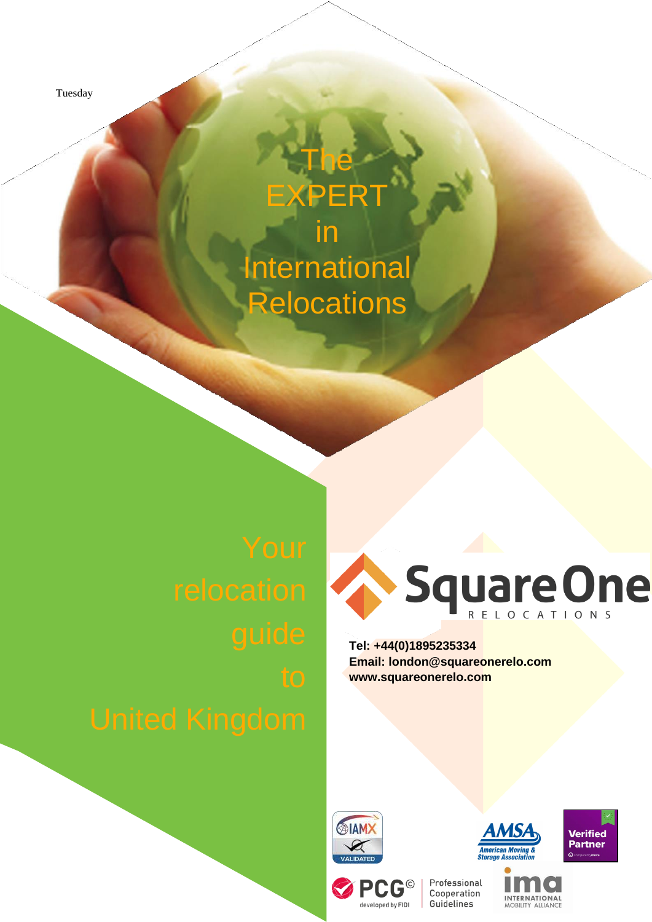Tuesday

# **EXPERT** in **International Relocations**

The



**Tel: +44(0)1895235334 Email: [london@squareonerelo.com](mailto:london@squareonerelo.com) [www.squareonerelo.com](http://www.squareonerelo.com/)**



PCG®

developed by FIDI







INTERNATIONAL<br>MOBILITY ALLIANCE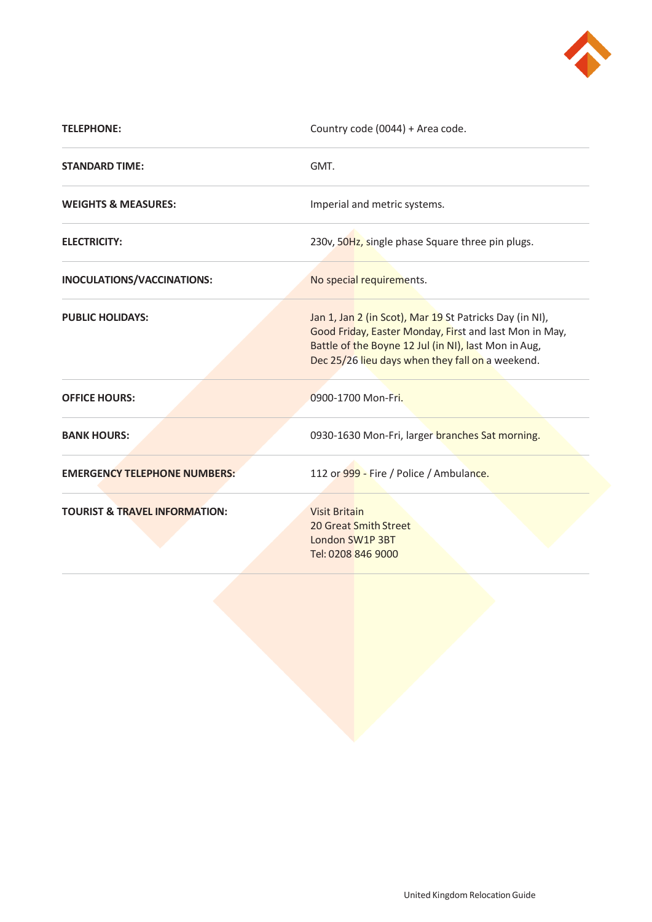

| <b>TELEPHONE:</b>                        | Country code (0044) + Area code.                                                                                                                                                                                              |
|------------------------------------------|-------------------------------------------------------------------------------------------------------------------------------------------------------------------------------------------------------------------------------|
| <b>STANDARD TIME:</b>                    | GMT.                                                                                                                                                                                                                          |
| <b>WEIGHTS &amp; MEASURES:</b>           | Imperial and metric systems.                                                                                                                                                                                                  |
| <b>ELECTRICITY:</b>                      | 230v, 50Hz, single phase Square three pin plugs.                                                                                                                                                                              |
| INOCULATIONS/VACCINATIONS:               | No special requirements.                                                                                                                                                                                                      |
| <b>PUBLIC HOLIDAYS:</b>                  | Jan 1, Jan 2 (in Scot), Mar 19 St Patricks Day (in NI),<br>Good Friday, Easter Monday, First and last Mon in May,<br>Battle of the Boyne 12 Jul (in NI), last Mon in Aug,<br>Dec 25/26 lieu days when they fall on a weekend. |
| <b>OFFICE HOURS:</b>                     | 0900-1700 Mon-Fri.                                                                                                                                                                                                            |
| <b>BANK HOURS:</b>                       | 0930-1630 Mon-Fri, larger branches Sat morning.                                                                                                                                                                               |
| <b>EMERGENCY TELEPHONE NUMBERS:</b>      | 112 or 999 - Fire / Police / Ambulance.                                                                                                                                                                                       |
| <b>TOURIST &amp; TRAVEL INFORMATION:</b> | <b>Visit Britain</b><br>20 Great Smith Street<br>London SW1P 3BT<br>Tel: 0208 846 9000                                                                                                                                        |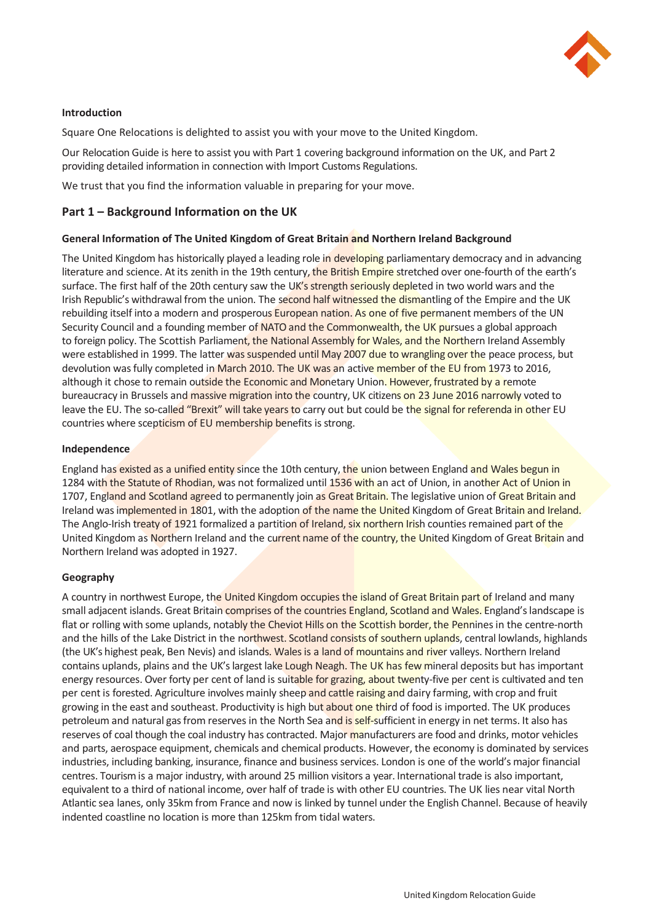

# **Introduction**

Square One Relocations is delighted to assist you with your move to the United Kingdom.

Our Relocation Guide is here to assist you with Part 1 covering background information on the UK, and Part 2 providing detailed information in connection with Import Customs Regulations.

We trust that you find the information valuable in preparing for your move.

# **Part 1 – Background Information on the UK**

# **General Information of The United Kingdom of Great Britain and Northern Ireland Background**

The United Kingdom has historically played a leading role in developing parliamentary democracy and in advancing literature and science. At its zenith in the 19th century, the British Empire stretched over one-fourth of the earth's surface. The first half of the 20th century saw the UK's strength seriously depleted in two world wars and the Irish Republic's withdrawal from the union. The second half witnessed the dismantling of the Empire and the UK rebuilding itself into a modern and prosperous **European nation. As one of five permanent** members of the UN Security Council and a founding member of NATO and the Commonwealth, the UK pursues a global approach to foreign policy. The Scottish Parliament, the National Assembly for Wales, and the Northern Ireland Assembly were established in 1999. The latter was suspended until May 2007 due to wrangling over the peace process, but devolution was fully completed in March 2010. The UK was an active member of the EU from 1973 to 2016, although it chose to remain outside the Economic and Monetary Union. However, frustrated by a remote bureaucracy in Brussels and massive migration into the country, UK citizens on 23 June 2016 narrowly voted to leave the EU. The so-called "Brexit" will take years to carry out but could be the signal for referenda in other EU countries where scepticism of EU membership benefits is strong.

# **Independence**

England has existed as a unified entity since the 10th century, the union between England and Wales begun in 1284 with the Statute of Rhodian, was not formalized until 1536 with an act of Union, in another Act of Union in 1707, England and Scotland agreed to permanently join as Great Britain. The legislative union of Great Britain and Ireland was implemented in 1801, with the adoption of the name the United Kingdom of Great Britain and Ireland. The Anglo-Irish treaty of 1921 formalized a partition of Ireland, six northern Irish counties remained part of the United Kingdom as Northern Ireland and the current name of the country, the United Kingdom of Great Britain and Northern Ireland was adopted in 1927.

# **Geography**

A country in northwest Europe, the United Kingdom occupies the island of Great Britain part of Ireland and many small adjacent islands. Great Britain comprises of the countries England, Scotland and Wales. England's landscape is flat or rolling with some uplands, notably the Cheviot Hills on the Scottish border, the Pennines in the centre-north and the hills of the Lake District in the northwest. Scotland consists of southern uplands, central lowlands, highlands (the UK's highest peak, Ben Nevis) and islands. Wales is a land of mountains and river valleys. Northern Ireland contains uplands, plains and the UK's largest lake Lough Neagh. The UK has few mineral deposits but has important energy resources. Over forty per cent of land is suitable for grazing, about twenty-five per cent is cultivated and ten per cent is forested. Agriculture involves mainly sheep and cattle raising and dairy farming, with crop and fruit growing in the east and southeast. Productivity is high but about one third of food is imported. The UK produces petroleum and natural gas from reserves in the North Sea and is self-sufficient in energy in net terms. It also has reserves of coal though the coal industry has contracted. Major manufacturers are food and drinks, motor vehicles and parts, aerospace equipment, chemicals and chemical products. However, the economy is dominated by services industries, including banking, insurance, finance and business services. London is one of the world's major financial centres. Tourism is a major industry, with around 25 million visitors a year. International trade is also important, equivalent to a third of national income, over half of trade is with other EU countries. The UK lies near vital North Atlantic sea lanes, only 35km from France and now is linked by tunnel under the English Channel. Because of heavily indented coastline no location is more than 125km from tidal waters.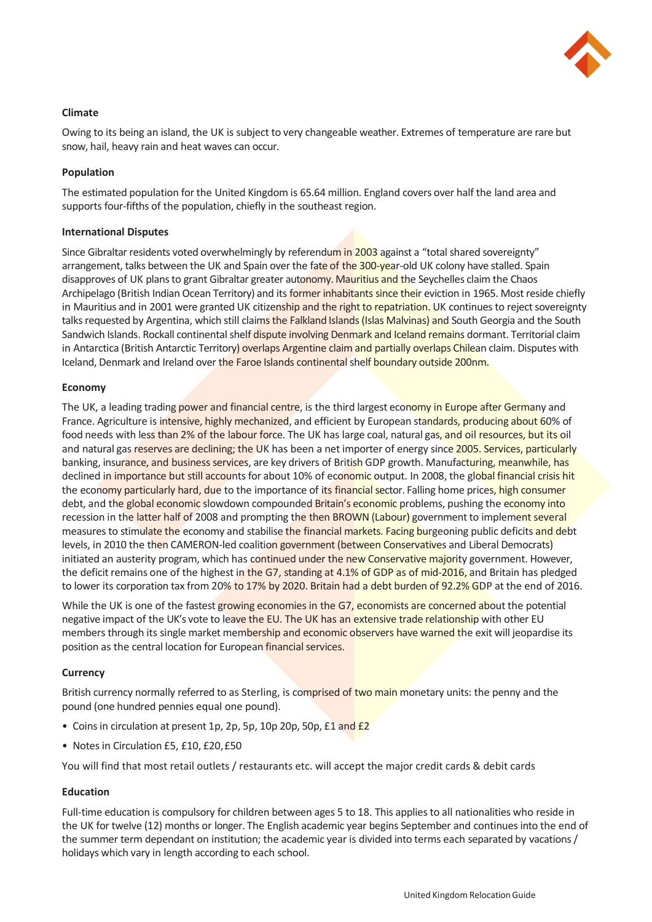

# **Climate**

Owing to its being an island, the UK is subject to very changeable weather. Extremes of temperature are rare but snow, hail, heavy rain and heat waves can occur.

### **Population**

The estimated population for the United Kingdom is 65.64 million. England covers over half the land area and supports four-fifths of the population, chiefly in the southeast region.

#### **International Disputes**

Since Gibraltar residents voted overwhelmingly by referendum in 2003 against a "total shared sovereignty" arrangement, talks between the UK and Spain over the fate of the 300-year-old UK colony have stalled. Spain disapproves of UK plans to grant Gibraltar greater autonomy. Mauritius and the Seychelles claim the Chaos Archipelago (British Indian Ocean Territory) and its former inhabitants since their eviction in 1965. Most reside chiefly in Mauritius and in 2001 were granted UK citizenship and the right to repatriation. UK continues to reject sovereignty talks requested by Argentina, which still claims the Falkland Islands (Islas Malvinas) and South Georgia and the South Sandwich Islands. Rockall continental shelf dispute involving Denmark and Iceland remains dormant. Territorial claim in Antarctica (British Antarctic Territory) overlaps Argentine claim and partially overlaps Chilean claim. Disputes with Iceland, Denmark and Ireland over the Faroe Islands continental shelf boundary outside 200nm.

# **Economy**

The UK, a leading trading power and financial centre, is the third largest economy in Europe after Germany and France. Agriculture is intensive, highly mechanized, and efficient by European standards, producing about 60% of food needs with less than 2% of the labour force. The UK has large coal, natural gas, and oil resources, but its oil and natural gas reserves are declining; the UK has been a net importer of energy since 2005. Services, particularly banking, insurance, and business services, are key drivers of British GDP growth. Manufacturing, meanwhile, has declined in importance but still accounts for about 10% of economic output. In 2008, the global financial crisis hit the economy particularly hard, due to the importance of its financial sector. Falling home prices, high consumer debt, and the global economic slowdown compounded Britain's economic problems, pushing the economy into recession in the latter half of 2008 and prompting the then BROWN (Labour) government to implement several measures to stimulate the economy and stabilise the financial markets. Facing burgeoning public deficits and debt levels, in 2010 the then CAMERON-led coalition government (between Conservatives and Liberal Democrats) initiated an austerity program, which has continued under the new Conservative majority government. However, the deficit remains one of the highest in the G7, standing at 4.1% of GDP as of mid-2016, and Britain has pledged to lower its corporation tax from 20% to 17% by 2020. Britain had a debt burden of 92.2% GDP at the end of 2016.

While the UK is one of the fastest growing economies in the G7, economists are concerned about the potential negative impact of the UK's vote to leave the EU. The UK has an extensive trade relationship with other EU members through its single market membership and economic observers have warned the exit will jeopardise its position as the central location for European financial services.

# **Currency**

British currency normally referred to as Sterling, is comprised of two main monetary units: the penny and the pound (one hundred pennies equal one pound).

- Coins in circulation at present 1p, 2p, 5p, 10p 20p, 50p, £1 and £2
- Notes in Circulation £5, £10, £20,£50

You will find that most retail outlets / restaurants etc. will accept the major credit cards & debit cards

# **Education**

Full-time education is compulsory for children between ages 5 to 18. This applies to all nationalities who reside in the UK for twelve (12) months or longer. The English academic year begins September and continues into the end of the summer term dependant on institution; the academic year is divided into terms each separated by vacations / holidays which vary in length according to each school.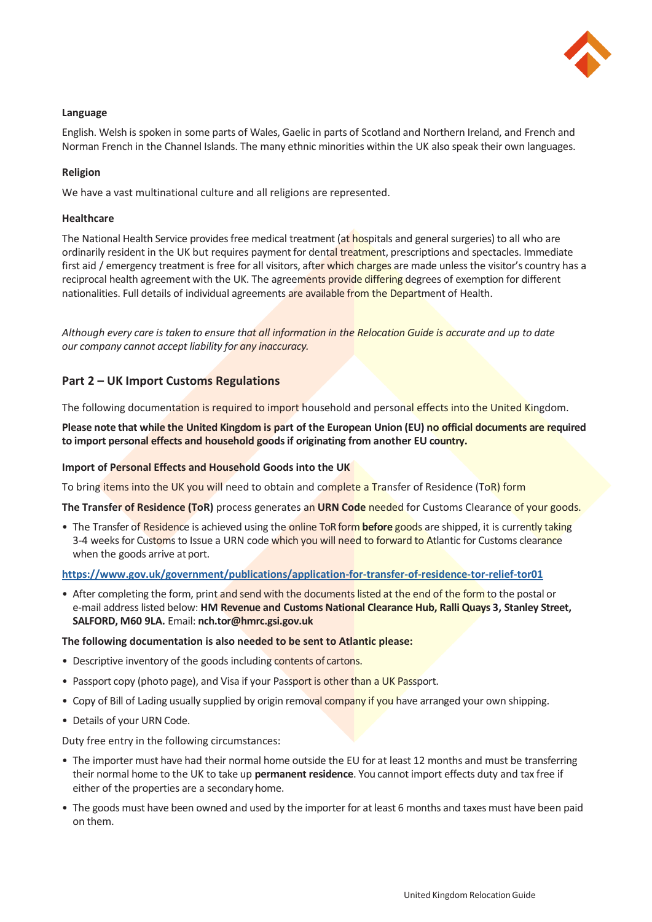

# **Language**

English. Welsh is spoken in some parts of Wales, Gaelic in parts of Scotland and Northern Ireland, and French and Norman French in the Channel Islands. The many ethnic minorities within the UK also speak their own languages.

# **Religion**

We have a vast multinational culture and all religions are represented.

# **Healthcare**

The National Health Service provides free medical treatment (at hospitals and general surgeries) to all who are ordinarily resident in the UK but requires payment for dental treatment, prescriptions and spectacles. Immediate first aid / emergency treatment is free for all visitors, after which charges are made unless the visitor's country has a reciprocal health agreement with the UK. The agreements provide differing degrees of exemption for different nationalities. Full details of individual agreements are available from the Department of Health.

*Although every care is taken to ensure that all information in the Relocation Guide is accurate and up to date our company cannot accept liability for any inaccuracy.*

# **Part 2 – UK Import Customs Regulations**

The following documentation is required to import household and personal effects into the United Kingdom.

**Please note that while the United Kingdom is part of the European Union (EU) no official documents are required to import personal effects and household goods if originating from another EU country.**

#### **Import of Personal Effects and Household Goods into the UK**

To bring items into the UK you will need to obtain and complete a Transfer of Residence (ToR) form

**The Transfer of Residence (ToR)** process generates an **URN Code** needed for Customs Clearance of your goods.

• The Transfer of Residence is achieved using the online ToR form **before** goods are shipped, it is currently taking 3-4 weeks for Customs to Issue a URN code which you will need to forward to Atlantic for Customs clearance when the goods arrive at port.

#### **<https://www.gov.uk/government/publications/application-for-transfer-of-residence-tor-relief-tor01>**

• After completing the form, print and send with the documents listed at the end of the form to the postal or e-mail address listed below: **HM Revenue and Customs National Clearance Hub, Ralli Quays 3, Stanley Street, SALFORD, M60 9LA.** Email: **[nch.tor@hmrc.gsi.gov.uk](mailto:nch.tor@hmrc.gsi.gov.uk)**

#### **The following documentation is also needed to be sent to Atlantic please:**

- Descriptive inventory of the goods including contents of cartons.
- Passport copy (photo page), and Visa if your Passport is other than a UK Passport.
- Copy of Bill of Lading usually supplied by origin removal company if you have arranged your own shipping.
- Details of your URN Code.

Duty free entry in the following circumstances:

- The importer must have had their normal home outside the EU for at least 12 months and must be transferring their normal home to the UK to take up **permanent residence**. You cannot import effects duty and tax free if either of the properties are a secondaryhome.
- The goods must have been owned and used by the importer for at least 6 months and taxes must have been paid on them.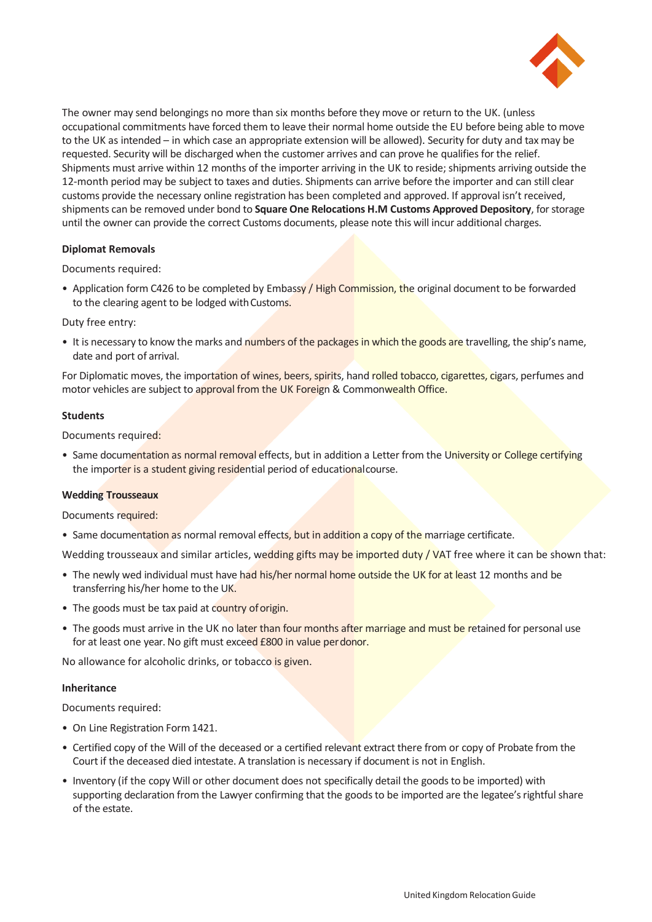

The owner may send belongings no more than six months before they move or return to the UK. (unless occupational commitments have forced them to leave their normal home outside the EU before being able to move to the UK as intended – in which case an appropriate extension will be allowed). Security for duty and tax may be requested. Security will be discharged when the customer arrives and can prove he qualifies for the relief. Shipments must arrive within 12 months of the importer arriving in the UK to reside; shipments arriving outside the 12-month period may be subject to taxes and duties. Shipments can arrive before the importer and can still clear customs provide the necessary online registration has been completed and approved. If approval isn't received, shipments can be removed under bond to **Square One Relocations H.M Customs Approved Depository**, for storage until the owner can provide the correct Customs documents, please note this will incur additional charges.

#### **Diplomat Removals**

Documents required:

• Application form C426 to be completed by Embassy / High Commission, the original document to be forwarded to the clearing agent to be lodged with Customs.

# Duty free entry:

• It is necessary to know the marks and numbers of the packages in which the goods are travelling, the ship's name, date and port of arrival.

For Diplomatic moves, the importation of wines, beers, spirits, hand rolled tobacco, cigarettes, cigars, perfumes and motor vehicles are subject to approval from the UK Foreign & Commonwealth Office.

# **Students**

Documents required:

• Same documentation as normal removal effects, but in addition a Letter from the University or College certifying the importer is a student giving residential period of educational course.

#### **Wedding Trousseaux**

Documents required:

- Same documentation as normal removal effects, but in addition a copy of the marriage certificate.
- Wedding trousseaux and similar articles, wedding gifts may be imported duty / VAT free where it can be shown that:
- The newly wed individual must have had his/her normal home outside the UK for at least 12 months and be transferring his/her home to the UK.
- The goods must be tax paid at country of origin.
- The goods must arrive in the UK no later than four months after marriage and must be retained for personal use for at least one year. No gift must exceed £800 in value perdonor.

No allowance for alcoholic drinks, or tobacco is given.

#### **Inheritance**

Documents required:

- On Line Registration Form 1421.
- Certified copy of the Will of the deceased or a certified relevant extract there from or copy of Probate from the Court if the deceased died intestate. A translation is necessary if document is not in English.
- Inventory (if the copy Will or other document does not specifically detail the goods to be imported) with supporting declaration from the Lawyer confirming that the goods to be imported are the legatee's rightful share of the estate.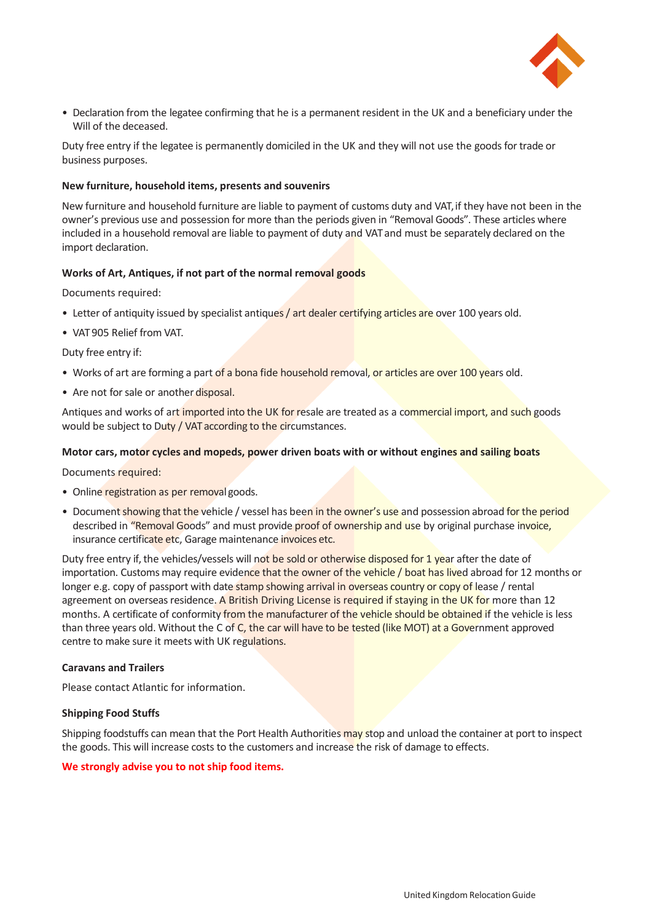

• Declaration from the legatee confirming that he is a permanent resident in the UK and a beneficiary under the Will of the deceased.

Duty free entry if the legatee is permanently domiciled in the UK and they will not use the goods for trade or business purposes.

#### **New furniture, household items, presents and souvenirs**

New furniture and household furniture are liable to payment of customs duty and VAT, if they have not been in the owner's previous use and possession for more than the periods given in "Removal Goods". These articles where included in a household removal are liable to payment of duty and VAT and must be separately declared on the import declaration.

#### **Works of Art, Antiques, if not part of the normal removal goods**

Documents required:

- Letter of antiquity issued by specialist antiques / art dealer certifying articles are over 100 years old.
- VAT 905 Relief from VAT.

Duty free entry if:

- Works of art are forming a part of a bona fide household removal, or articles are over 100 years old.
- Are not for sale or another disposal.

Antiques and works of art imported into the UK for resale are treated as a commercial import, and such goods would be subject to Duty / VAT according to the circumstances.

#### **Motor cars, motor cycles and mopeds, power driven boats with or without engines and sailing boats**

Documents required:

- Online registration as per removal goods.
- Document showing that the vehicle / vessel has been in the owner's use and possession abroad for the period described in "Removal Goods" and must provide proof of ownership and use by original purchase invoice, insurance certificate etc, Garage maintenance invoices etc.

Duty free entry if, the vehicles/vessels will not be sold or otherwise disposed for 1 year after the date of importation. Customs may require evidence that the owner of the vehicle / boat has lived abroad for 12 months or longer e.g. copy of passport with date stamp showing arrival in overseas country or copy of lease / rental agreement on overseas residence. A British Driving License is required if staying in the UK for more than 12 months. A certificate of conformity from the manufacturer of the vehicle should be obtained if the vehicle is less than three years old. Without the C of C, the car will have to be tested (like MOT) at a Government approved centre to make sure it meets with UK regulations.

#### **Caravans and Trailers**

Please contact Atlantic for information.

#### **Shipping Food Stuffs**

Shipping foodstuffs can mean that the Port Health Authorities may stop and unload the container at port to inspect the goods. This will increase costs to the customers and increase the risk of damage to effects.

#### **We strongly advise you to not ship food items.**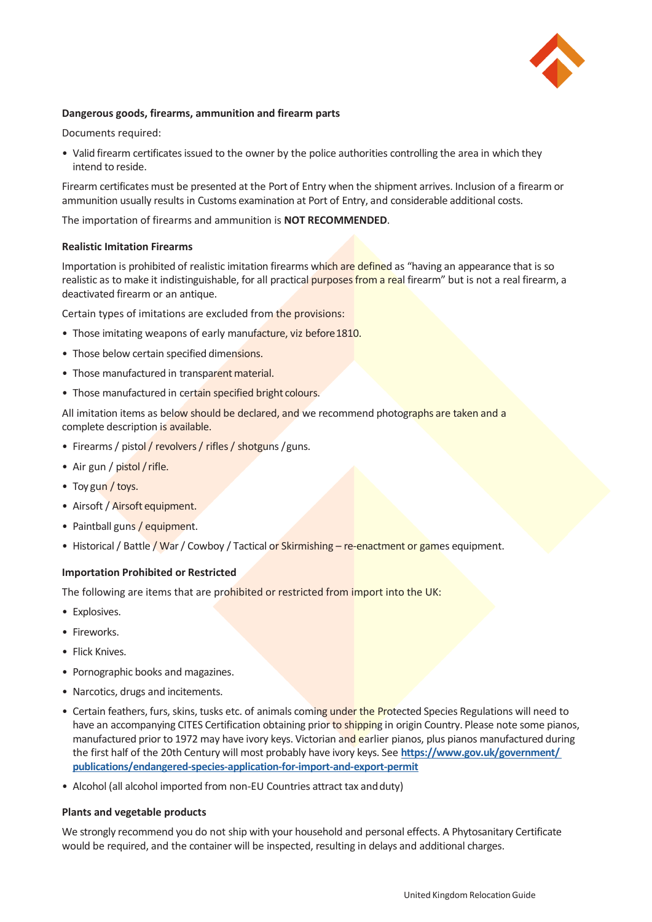

# **Dangerous goods, firearms, ammunition and firearm parts**

Documents required:

• Valid firearm certificates issued to the owner by the police authorities controlling the area in which they intend to reside.

Firearm certificates must be presented at the Port of Entry when the shipment arrives. Inclusion of a firearm or ammunition usually results in Customs examination at Port of Entry, and considerable additional costs.

The importation of firearms and ammunition is **NOT RECOMMENDED**.

#### **Realistic Imitation Firearms**

Importation is prohibited of realistic imitation firearms which are defined as "having an appearance that is so realistic as to make it indistinguishable, for all practical purposes from a real firearm" but is not a real firearm, a deactivated firearm or an antique.

Certain types of imitations are excluded from the provisions:

- Those imitating weapons of early manufacture, viz before 1810.
- Those below certain specified dimensions.
- Those manufactured in transparent material.
- Those manufactured in certain specified bright colours.

All imitation items as below should be declared, and we recommend photographs are taken and a complete description is available.

- Firearms / pistol / revolvers / rifles / shotguns / guns.
- Air gun / pistol / rifle.
- Toy gun / toys.
- Airsoft / Airsoft equipment.
- Paintball guns / equipment.
- Historical / Battle / War / Cowboy / Tactical or Skirmishing re-enactment or games equipment.

#### **Importation Prohibited or Restricted**

The following are items that are prohibited or restricted from import into the UK:

- Explosives.
- Fireworks.
- Flick Knives.
- Pornographic books and magazines.
- Narcotics, drugs and incitements.
- Certain feathers, furs, skins, tusks etc. of animals coming under the Protected Species Regulations will need to have an accompanying CITES Certification obtaining prior to shipping in origin Country. Please note some pianos, manufactured prior to 1972 may have ivory keys. Victorian and earlier pianos, plus pianos manufactured during the first half of the 20th Century will most probably have ivory keys. See **[https://www.gov.uk/government/](https://www.gov.uk/government/publications/endangered-species-application-for-import-and-export-permit) [publications/endangered-species-application-for-import-and-export-permit](https://www.gov.uk/government/publications/endangered-species-application-for-import-and-export-permit)**
- Alcohol (all alcohol imported from non-EU Countries attract tax and duty)

#### **Plants and vegetable products**

We strongly recommend you do not ship with your household and personal effects. A Phytosanitary Certificate would be required, and the container will be inspected, resulting in delays and additional charges.